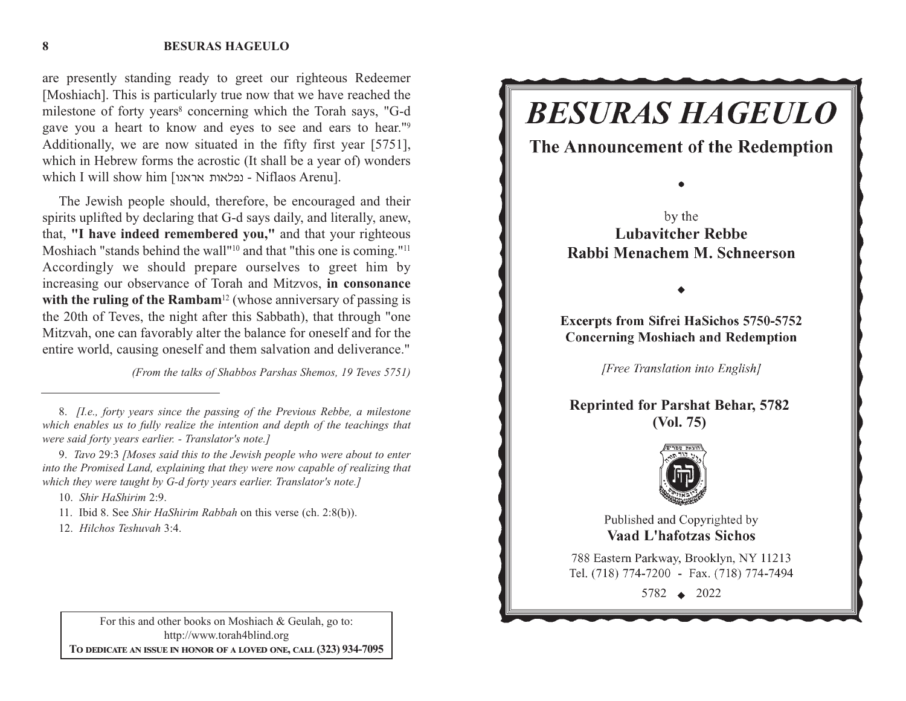#### **BESURAS HAGEULO**

are presently standing ready to greet our righteous Redeemer [Moshiach]. This is particularly true now that we have reached the milestone of forty years<sup>8</sup> concerning which the Torah says, "G-d gave you a heart to know and eyes to see and ears to hear."9 Additionally, we are now situated in the fifty first year [5751], which in Hebrew forms the acrostic (It shall be a year of) wonders  $\mu$ ופלאות אראנו | which I will show him [ubtric - נפלאות - Niflaos Arenu].

The Jewish people should, therefore, be encouraged and their spirits uplifted by declaring that G-d says daily, and literally, anew, that, **"I have indeed remembered you,"** and that your righteous Moshiach "stands behind the wall"<sup>10</sup> and that "this one is coming."<sup>11</sup> Accordingly we should prepare ourselves to greet him by increasing our observance of Torah and Mitzvos, **in consonance** with the ruling of the Rambam<sup>12</sup> (whose anniversary of passing is the 20th of Teves, the night after this Sabbath), that through "one Mitzvah, one can favorably alter the balance for oneself and for the entire world, causing oneself and them salvation and deliverance."

*(From the talks of Shabbos Parshas Shemos, 19 Teves 5751)*

10. *Shir HaShirim* 2:9.

11. Ibid 8. See *Shir HaShirim Rabbah* on this verse (ch. 2:8(b)).

12. *Hilchos Teshuvah* 3:4.

For this and other books on Moshiach & Geulah, go to: http://www.torah4blind.org  $\bf{To \textbf{ DEDICATE \textbf{AN} \textbf{ ISSUE} \textbf{IN} \textbf{ HONOR} \textbf{OF} \textbf{A} \textbf{ LOVED} \textbf{ONE}, \textbf{CALL} \textbf{(323)} \textbf{934-7095}}$ 



**8**

<sup>8.</sup> *[I.e., forty years since the passing of the Previous Rebbe, a milestone which enables us to fully realize the intention and depth of the teachings that were said forty years earlier. - Translator's note.]*

<sup>9.</sup> *Tavo* 29:3 *[Moses said this to the Jewish people who were about to enter into the Promised Land, explaining that they were now capable of realizing that which they were taught by G-d forty years earlier. Translator's note.]*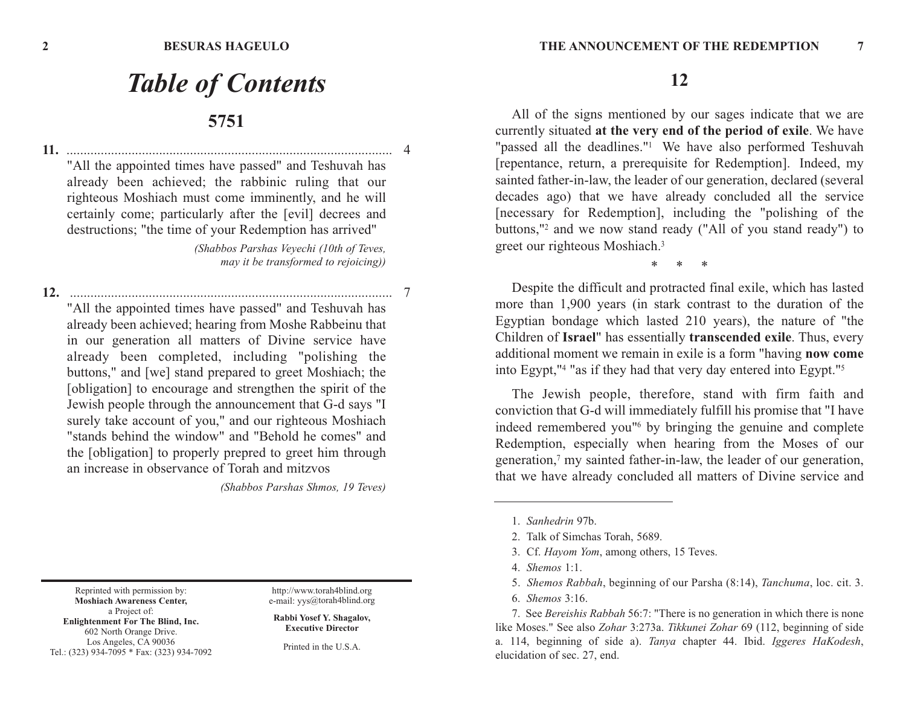# *Table of Contents* **5751**

**11.** ............................................................................................... 4 "All the appointed times have passed" and Teshuvah has already been achieved; the rabbinic ruling that our righteous Moshiach must come imminently, and he will certainly come; particularly after the [evil] decrees and destructions; "the time of your Redemption has arrived"

> *(Shabbos Parshas Veyechi (10th of Teves, may it be transformed to rejoicing))*

**12.** .............................................................................................. 7 "All the appointed times have passed" and Teshuvah has already been achieved; hearing from Moshe Rabbeinu that in our generation all matters of Divine service have already been completed, including "polishing the buttons," and [we] stand prepared to greet Moshiach; the [obligation] to encourage and strengthen the spirit of the Jewish people through the announcement that G-d says "I surely take account of you," and our righteous Moshiach "stands behind the window" and "Behold he comes" and the [obligation] to properly prepred to greet him through an increase in observance of Torah and mitzvos

*(Shabbos Parshas Shmos, 19 Teves)*

**12**

All of the signs mentioned by our sages indicate that we are currently situated **at the very end of the period of exile**. We have "passed all the deadlines."<sup>1</sup> We have also performed Teshuvah [repentance, return, a prerequisite for Redemption]. Indeed, my sainted father-in-law, the leader of our generation, declared (several decades ago) that we have already concluded all the service [necessary for Redemption], including the "polishing of the buttons,"2 and we now stand ready ("All of you stand ready") to greet our righteous Moshiach.3

\*     \*     \*

Despite the difficult and protracted final exile, which has lasted more than 1,900 years (in stark contrast to the duration of the Egyptian bondage which lasted 210 years), the nature of "the Children of **Israel**" has essentially **transcended exile**. Thus, every additional moment we remain in exile is a form "having **now come** into Egypt,"4 "as if they had that very day entered into Egypt."5

The Jewish people, therefore, stand with firm faith and conviction that G-d will immediately fulfill his promise that "I have indeed remembered you"6 by bringing the genuine and complete Redemption, especially when hearing from the Moses of our generation,7 my sainted father-in-law, the leader of our generation, that we have already concluded all matters of Divine service and

Reprinted with permission by: **Moshiach Awareness Center,** a Project of: **Enlightenment For The Blind, Inc.** 602 North Orange Drive. Los Angeles, CA 90036 Tel.: (323) 934-7095 \* Fax: (323) 934-7092

http://www.torah4blind.org e-mail: yys@torah4blind.org

**Rabbi Yosef Y. Shagalov, Executive Director**

Printed in the U.S.A.

<sup>1.</sup> *Sanhedrin* 97b.

<sup>2.</sup> Talk of Simchas Torah, 5689.

<sup>3.</sup> Cf. *Hayom Yom*, among others, 15 Teves.

<sup>4.</sup> *Shemos* 1:1.

<sup>5.</sup> *Shemos Rabbah*, beginning of our Parsha (8:14), *Tanchuma*, loc. cit. 3.

<sup>6.</sup> *Shemos* 3:16.

<sup>7.</sup> See *Bereishis Rabbah* 56:7: "There is no generation in which there is none like Moses." See also *Zohar* 3:273a. *Tikkunei Zohar* 69 (112, beginning of side a. 114, beginning of side a). *Tanya* chapter 44. Ibid. *Iggeres HaKodesh*, elucidation of sec. 27, end.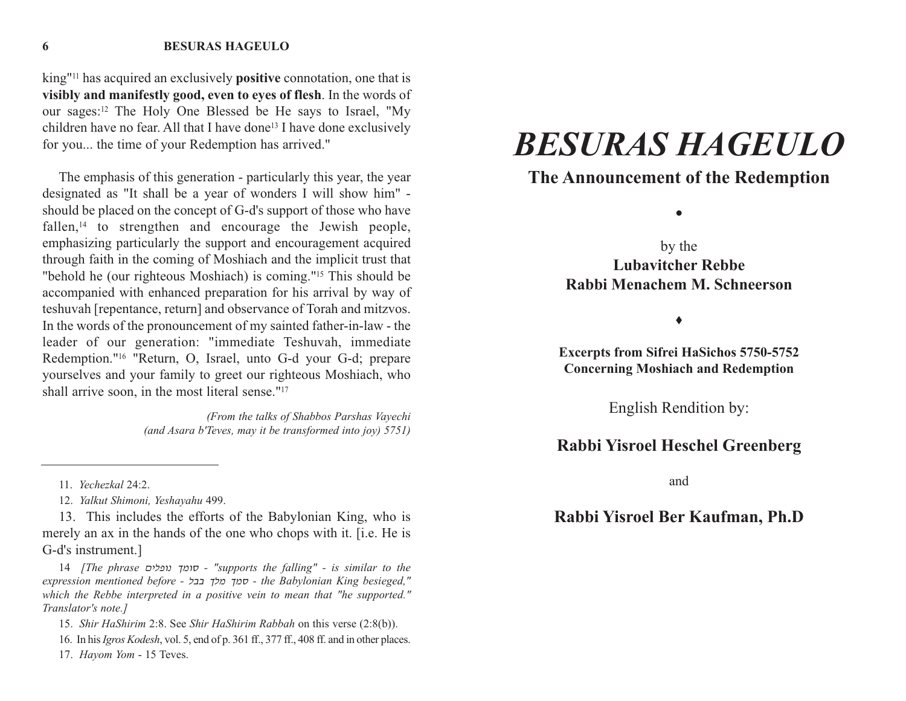#### **BESURAS HAGEULO**

king"11 has acquired an exclusively **positive** connotation, one that is **visibly and manifestly good, even to eyes of flesh**. In the words of our sages:<sup>12</sup> The Holy One Blessed be He says to Israel, "My children have no fear. All that I have done<sup>13</sup> I have done exclusively for you... the time of your Redemption has arrived."

The emphasis of this generation - particularly this year, the year designated as "It shall be a year of wonders I will show him" should be placed on the concept of G-d's support of those who have fallen,<sup>14</sup> to strengthen and encourage the Jewish people, emphasizing particularly the support and encouragement acquired through faith in the coming of Moshiach and the implicit trust that "behold he (our righteous Moshiach) is coming."15 This should be accompanied with enhanced preparation for his arrival by way of teshuvah [repentance, return] and observance of Torah and mitzvos. In the words of the pronouncement of my sainted father-in-law - the leader of our generation: "immediate Teshuvah, immediate Redemption."16 "Return, O, Israel, unto G-d your G-d; prepare yourselves and your family to greet our righteous Moshiach, who shall arrive soon, in the most literal sense."17

> *(From the talks of Shabbos Parshas Vayechi (and Asara b'Teves, may it be transformed into joy) 5751)*

13. This includes the efforts of the Babylonian King, who is merely an ax in the hands of the one who chops with it. [i.e. He is G-d's instrument.]

14 *[The phrase* ohkpub lnux *- "supports the falling" - is similar to the expression mentioned before -* kcc lkn lnx *- the Babylonian King besieged," which the Rebbe interpreted in a positive vein to mean that "he supported." Translator's note.]*

15. *Shir HaShirim* 2:8. See *Shir HaShirim Rabbah* on this verse (2:8(b)).

16. In his *Igros Kodesh*, vol. 5, end of p. 361 ff., 377 ff., 408 ff. and in other places.

17. *Hayom Yom* - 15 Teves.

# *BESURAS HAGEULO*

#### **The Announcement of the Redemption**

 $\bullet$ 

by the **Lubavitcher RebbeRabbi Menachem M. Schneerson** 

 $\bullet$ 

**Excerpts from Sifrei HaSichos 5750-5752 Concerning Moshiach and Redemption** 

English Rendition by:

#### **Rabbi Yisroel Heschel Greenberg**

and

### **Rabbi Yisroel Ber Kaufman, Ph.D**

**6**

<sup>11.</sup> *Yechezkal* 24:2.

<sup>12.</sup> *Yalkut Shimoni, Yeshayahu* 499.